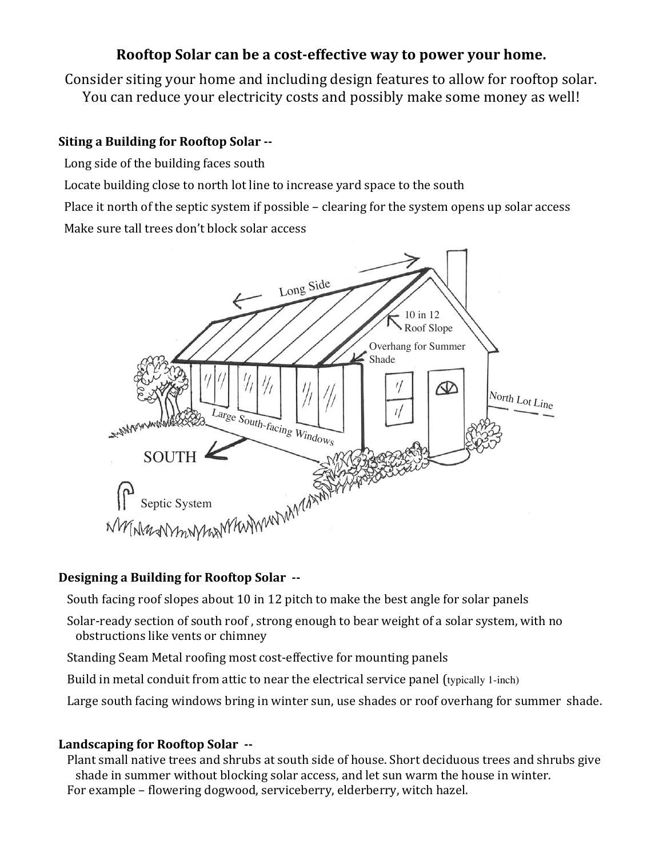## **Rooftop Solar can be a cost-effective way to power your home.**

Consider siting your home and including design features to allow for rooftop solar. You can reduce your electricity costs and possibly make some money as well!

#### **Siting a Building for Rooftop Solar --**

- Long side of the building faces south
- Locate building close to north lot line to increase yard space to the south

Place it north of the septic system if possible – clearing for the system opens up solar access Make sure tall trees don't block solar access



### **Designing a Building for Rooftop Solar**  $\cdot$ **-**

South facing roof slopes about 10 in 12 pitch to make the best angle for solar panels

- Solar-ready section of south roof, strong enough to bear weight of a solar system, with no obstructions like vents or chimney
- Standing Seam Metal roofing most cost-effective for mounting panels
- Build in metal conduit from attic to near the electrical service panel (typically 1-inch)
- Large south facing windows bring in winter sun, use shades or roof overhang for summer shade.

#### Landscaping for Rooftop Solar  $\cdot$

Plant small native trees and shrubs at south side of house. Short deciduous trees and shrubs give shade in summer without blocking solar access, and let sun warm the house in winter. For example – flowering dogwood, serviceberry, elderberry, witch hazel.